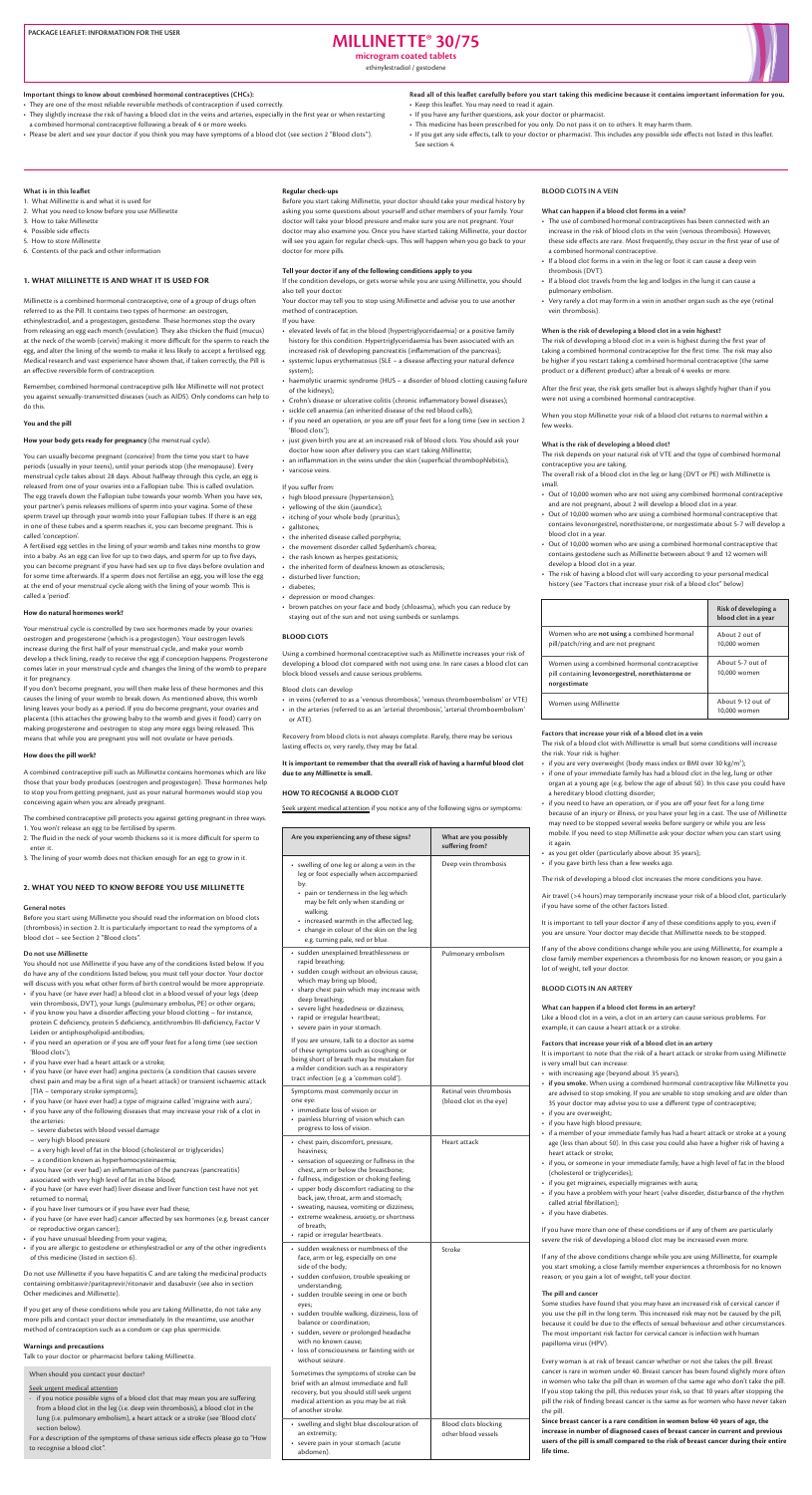The overall risk of a blood clot in the leg or lung (DVT or PE) with Millinette is .small

- Out of 10,000 women who are not using any combined hormonal contraceptive and are not pregnant, about 2 will develop a blood clot in a year.
- Out of 10,000 women who are using a combined hormonal contraceptive that contains levonorgestrel, norethisterone, or norgestimate about 5-7 will develop a blood clot in a year.
- Out of 10,000 women who are using a combined hormonal contraceptive that contains gestodene such as Millinette between about 9 and 12 women will develop a blood clot in a year.
- The risk of having a blood clot will vary according to your personal medical history (see "Factors that increase your risk of a blood clot" below)

|                                                                                                                    | Risk of developing a<br>blood clot in a year |
|--------------------------------------------------------------------------------------------------------------------|----------------------------------------------|
| Women who are <b>not using</b> a combined hormonal<br>pill/patch/ring and are not pregnant                         | About 2 out of<br>10,000 women               |
| Women using a combined hormonal contraceptive<br>pill containing levonorgestrel, norethisterone or<br>norgestimate | About 5-7 out of<br>10,000 women             |
| Women using Millinette                                                                                             | About 9-12 out of<br>10.000 women            |

Factors that increase your risk of a blood clot in a vein

The risk of a blood clot with Millinette is small but some conditions will increase

# **How does the pill work?**

A combined contraceptive pill such as Millinette contains hormones which are like those that your body produces (oestrogen and progestogen). These hormones help to stop you from getting pregnant, just as your natural hormones would stop you conceiving again when you are already pregnant.

The combined contraceptive pill protects you against getting pregnant in three ways. 1. You won't release an egg to be fertilised by sperm.

- 2. The fluid in the neck of your womb thickens so it is more difficult for sperm to enter it.
- 3. The lining of your womb does not thicken enough for an egg to grow in it.

# **2. WHAT YOU NEED TO KNOW BEFORE YOU USE MILLINETTE**

#### **General** notes

Before you start using Millinette you should read the information on blood clots (thrombosis) in section 2. It is particularly important to read the symptoms of a blood clot - see Section 2 "Blood clots".

# **Do** not use Millinette

You should not use Millinette if you have any of the conditions listed below. If you do have any of the conditions listed below, you must tell your doctor. Your doctor will discuss with you what other form of birth control would be more appropriate.

- if you have (or have ever had) a blood clot in a blood vessel of your legs (deep vein thrombosis, DVT), your lungs (pulmonary embolus, PE) or other organs;
- if you know you have a disorder affecting your blood clotting for instance, protein C deficiency, protein S deficiency, antithrombin-III-deficiency, Factor V Leiden or antiphospholipid-antibodies;
- if you need an operation or if you are off your feet for a long time (see section 'Blood clots');
- if you have ever had a heart attack or a stroke;
- if you have (or have ever had) angina pectoris (a condition that causes severe chest pain and may be a first sign of a heart attack) or transient ischaemic attack [TIA – temporary stroke symptoms];
- if you have (or have ever had) a type of migraine called 'migraine with aura';
- if you have any of the following diseases that may increase your risk of a clot in the arteries:
- severe diabetes with blood vessel damage
- very high blood pressure
- a very high level of fat in the blood (cholesterol or triglycerides)
- a condition known as hyperhomocysteinaemia;
- if you have (or ever had) an inflammation of the pancreas (pancreatitis) associated with very high level of fat in the blood;
- if you have (or have ever had) liver disease and liver function test have not yet returned to normal:
- if you have liver tumours or if you have ever had these;
- if you have (or have ever had) cancer affected by sex hormones (e.g. breast cancer or reproductive organ cancer);
- if you have unusual bleeding from your vagina;
- if you are allergic to gestodene or ethinylestradiol or any of the other ingredients of this medicine (listed in section 6).

Do not use Millinette if you have hepatitis C and are taking the medicinal products containing ombitasvir/paritaprevir/ritonavir and dasabuvir (see also in section Other medicines and Millinette).

If you get any of these conditions while you are taking Millinette, do not take any more pills and contact your doctor immediately. In the meantime, use another method of contraception such as a condom or cap plus spermicide.

#### **Warnings and precautions**

Talk to your doctor or pharmacist before taking Millinette.

When should you contact your doctor?

#### Seek urgent medical attention

- if you notice possible signs of a blood clot that may mean you are suffering from a blood clot in the leg (i.e. deep vein thrombosis), a blood clot in the lung (i.e. pulmonary embolism), a heart attack or a stroke (see 'Blood clots' section below).

For a description of the symptoms of these serious side effects please go to "How to recognise a blood clot".

It is important to remember that the overall risk of having a harmful blood clot due to any Millinette is small.

# **HOW TO RECOGNISE A BLOOD CLOT**

Seek urgent medical attention if you notice any of the following signs or symptoms:

# **30/75 RMILLINETTE**

**microgram** coated tablets

ethinylestradiol / gestodene



Important things to know about combined hormonal contraceptives (CHCs):

- They are one of the most reliable reversible methods of contraception if used correctly.
- They slightly increase the risk of having a blood clot in the veins and arteries, especially in the first year or when restarting a combined hormonal contraceptive following a break of 4 or more weeks.
- . Please be alert and see your doctor if you think you may have symptoms of a blood clot (see section 2 "Blood clots").
- Read all of this leaflet carefully before you start taking this medicine because it contains important information for you. • Keep this leaflet. You may need to read it again.
- If you have any further questions, ask your doctor or pharmacist.
- This medicine has been prescribed for you only. Do not pass it on to others. It may harm them.
- . If you get any side effects, talk to your doctor or pharmacist. This includes any possible side effects not listed in this leaflet. See section 4.

### **What is in this leaflet**

- 1. What Millinette is and what it is used for
- 2. What you need to know before you use Millinette
- 3. How to take Millinette
- 4. Possible side effects
- 5. How to store Millinette
- 6. Contents of the pack and other information

#### **1. WHAT MILLINETTE IS AND WHAT IT IS USED FOR**

Millinette is a combined hormonal contraceptive, one of a group of drugs often referred to as the Pill. It contains two types of hormone: an oestrogen, ethinylestradiol, and a progestogen, gestodene. These hormones stop the ovary from releasing an egg each month (ovulation). They also thicken the fluid (mucus) at the neck of the womb (cervix) making it more difficult for the sperm to reach the egg, and alter the lining of the womb to make it less likely to accept a fertilised egg. Medical research and vast experience have shown that, if taken correctly, the Pill is an effective reversible form of contraception.

Remember, combined hormonal contraceptive pills like Millinette will not protect you against sexually-transmitted diseases (such as AIDS). Only condoms can help to do this.

#### **You and the pill**

#### How your body gets ready for pregnancy (the menstrual cycle).

You can usually become pregnant (conceive) from the time you start to have periods (usually in your teens), until your periods stop (the menopause). Every menstrual cycle takes about 28 days. About halfway through this cycle, an egg is released from one of your ovaries into a Fallopian tube. This is called ovulation. The egg travels down the Fallopian tube towards your womb. When you have sex, your partner's penis releases millions of sperm into your vagina. Some of these sperm travel up through your womb into your Fallopian tubes. If there is an egg in one of these tubes and a sperm reaches it, you can become pregnant. This is called 'conception'.

A fertilised egg settles in the lining of your womb and takes nine months to grow into a baby. As an egg can live for up to two days, and sperm for up to five days, you can become pregnant if you have had sex up to five days before ovulation and for some time afterwards. If a sperm does not fertilise an egg, you will lose the egg at the end of your menstrual cycle along with the lining of your womb. This is called a 'period'.

#### **How do natural hormones work?**

Your menstrual cycle is controlled by two sex hormones made by your ovaries: oestrogen and progesterone (which is a progestogen). Your oestrogen levels increase during the first half of your menstrual cycle, and make your womb develop a thick lining, ready to receive the egg if conception happens. Progesterone comes later in your menstrual cycle and changes the lining of the womb to prepare it for pregnancy.

If you don't become pregnant, you will then make less of these hormones and this causes the lining of your womb to break down. As mentioned above, this womb lining leaves your body as a period. If you do become pregnant, your ovaries and placenta (this attaches the growing baby to the womb and gives it food) carry on making progesterone and oestrogen to stop any more eggs being released. This means that while you are pregnant you will not ovulate or have periods.

### **Regular check-ups**

Before you start taking Millinette, your doctor should take your medical history by asking you some questions about yourself and other members of your family. Your doctor will take your blood pressure and make sure you are not pregnant. Your doctor may also examine you. Once you have started taking Millinette, your doctor will see you again for regular check-ups. This will happen when you go back to your doctor for more pills.

#### Tell your doctor if any of the following conditions apply to you

If the condition develops, or gets worse while you are using Millinette, you should also tell your doctor.

Your doctor may tell you to stop using Millinette and advise you to use another method of contraception.

If you have:

- elevated levels of fat in the blood (hypertriglyceridaemia) or a positive family history for this condition. Hypertriglyceridaemia has been associated with an increased risk of developing pancreatitis (inflammation of the pancreas);
- systemic lupus erythematosus (SLE a disease affecting your natural defence system);
- haemolytic uraemic syndrome (HUS a disorder of blood clotting causing failure of the kidneys);
- Crohn's disease or ulcerative colitis (chronic inflammatory bowel diseases);
- sickle cell anaemia (an inherited disease of the red blood cells);
- if you need an operation, or you are off your feet for a long time (see in section 2 'Blood clots');
- just given birth you are at an increased risk of blood clots. You should ask your doctor how soon after delivery you can start taking Millinette;
- an inflammation in the veins under the skin (superficial thrombophlebitis); • varicose veins.

# If you suffer from:

- high blood pressure (hypertension);
- yellowing of the skin (jaundice);
- itching of your whole body (pruritus);
- gallstones;
- the inherited disease called porphyria;
- the movement disorder called Sydenham's chorea;
- the rash known as herpes gestationis;
- the inherited form of deafness known as otosclerosis;
- disturbed liver function:
- diabetes:
- depression or mood changes:
- brown patches on your face and body (chloasma), which you can reduce by staying out of the sun and not using sunbeds or sunlamps.

#### **BLOOD** CLOTS

Using a combined hormonal contraceptive such as Millinette increases your risk of developing a blood clot compared with not using one. In rare cases a blood clot can block blood vessels and cause serious problems.

Blood clots can develop

- in veins (referred to as a 'venous thrombosis', 'venous thromboembolism' or VTE)
- in the arteries (referred to as an 'arterial thrombosis', 'arterial thromboembolism' or ATE).

Recovery from blood clots is not always complete. Rarely, there may be serious lasting effects or, very rarely, they may be fatal.

# **BLOOD CLOTS IN A VEIN**

#### What can happen if a blood clot forms in a vein?

- The use of combined hormonal contraceptives has been connected with an increase in the risk of blood clots in the vein (venous thrombosis). However, these side effects are rare. Most frequently, they occur in the first year of use of a combined hormonal contraceptive.
- If a blood clot forms in a vein in the leg or foot it can cause a deep vein thrombosis (DVT).
- If a blood clot travels from the leg and lodges in the lung it can cause a pulmonary embolism.
- Very rarely a clot may form in a vein in another organ such as the eye (retinal vein thrombosis).

#### When is the risk of developing a blood clot in a vein highest?

The risk of developing a blood clot in a vein is highest during the first year of taking a combined hormonal contraceptive for the first time. The risk may also be higher if you restart taking a combined hormonal contraceptive (the same product or a different product) after a break of 4 weeks or more.

After the first year, the risk gets smaller but is always slightly higher than if you were not using a combined hormonal contraceptive.

When you stop Millinette your risk of a blood clot returns to normal within a few weeks.

#### What is the risk of developing a blood clot?

The risk depends on your natural risk of VTE and the type of combined hormonal contraceptive you are taking.

| Are you experiencing any of these signs?                                                                                                                                                                                                                                                                                                                                                                                                                                                                                                                                                                         | What are you possibly<br>suffering from?           |
|------------------------------------------------------------------------------------------------------------------------------------------------------------------------------------------------------------------------------------------------------------------------------------------------------------------------------------------------------------------------------------------------------------------------------------------------------------------------------------------------------------------------------------------------------------------------------------------------------------------|----------------------------------------------------|
| swelling of one leg or along a vein in the<br>leg or foot especially when accompanied<br>by:<br>• pain or tenderness in the leg which<br>may be felt only when standing or<br>walking;<br>• increased warmth in the affected leg;<br>• change in colour of the skin on the leg<br>e.g. turning pale, red or blue.                                                                                                                                                                                                                                                                                                | Deep vein thrombosis                               |
| • sudden unexplained breathlessness or<br>rapid breathing;<br>• sudden cough without an obvious cause,<br>which may bring up blood;<br>• sharp chest pain which may increase with<br>deep breathing;<br>severe light headedness or dizziness;<br>rapid or irregular heartbeat;<br>• severe pain in your stomach.<br>If you are unsure, talk to a doctor as some<br>of these symptoms such as coughing or<br>being short of breath may be mistaken for<br>a milder condition such as a respiratory                                                                                                                | Pulmonary embolism                                 |
| tract infection (e.g. a 'common cold').<br>Symptoms most commonly occur in<br>one eye:<br>• immediate loss of vision or<br>• painless blurring of vision which can<br>progress to loss of vision.                                                                                                                                                                                                                                                                                                                                                                                                                | Retinal vein thrombosis<br>(blood clot in the eye) |
| • chest pain, discomfort, pressure,<br>heaviness;<br>• sensation of squeezing or fullness in the<br>chest, arm or below the breastbone;<br>• fullness, indigestion or choking feeling;<br>• upper body discomfort radiating to the<br>back, jaw, throat, arm and stomach;<br>• sweating, nausea, vomiting or dizziness;<br>• extreme weakness, anxiety, or shortness<br>of breath:<br>• rapid or irregular heartbeats.                                                                                                                                                                                           | Heart attack                                       |
| • sudden weakness or numbness of the<br>face, arm or leg, especially on one<br>side of the body;<br>· sudden confusion, trouble speaking or<br>understanding;<br>• sudden trouble seeing in one or both<br>eyes;<br>• sudden trouble walking, dizziness, loss of<br>balance or coordination;<br>· sudden, severe or prolonged headache<br>with no known cause;<br>• loss of consciousness or fainting with or<br>without seizure.<br>Sometimes the symptoms of stroke can be<br>brief with an almost immediate and full<br>recovery, but you should still seek urgent<br>medical attention as you may be at risk | Stroke                                             |
| of another stroke.<br>• swelling and slight blue discolouration of<br>an extremity;<br>severe pain in your stomach (acute<br>abdomen).                                                                                                                                                                                                                                                                                                                                                                                                                                                                           | <b>Blood clots blocking</b><br>other blood vessels |

the risk. Your risk is higher:

- if you are very overweight (body mass index or BMI over 30 kg/m<sup>2</sup>);
- if one of your immediate family has had a blood clot in the leg, lung or other organ at a young age (e.g. below the age of about 50). In this case you could have a hereditary blood clotting disorder;
- if you need to have an operation, or if you are off your feet for a long time because of an injury or illness, or you have your leg in a cast. The use of Millinette may need to be stopped several weeks before surgery or while you are less mobile. If you need to stop Millinette ask your doctor when you can start using it again.
- as you get older (particularly above about 35 years);
- if you gave birth less than a few weeks ago.

The risk of developing a blood clot increases the more conditions you have.

Air travel (>4 hours) may temporarily increase your risk of a blood clot, particularly if you have some of the other factors listed.

It is important to tell your doctor if any of these conditions apply to you, even if you are unsure. Your doctor may decide that Millinette needs to be stopped.

If any of the above conditions change while you are using Millinette, for example a close family member experiences a thrombosis for no known reason; or you gain a lot of weight, tell your doctor.

# **BLOOD CLOTS IN AN ARTERY**

What can happen if a blood clot forms in an artery?

Like a blood clot in a vein, a clot in an artery can cause serious problems. For example, it can cause a heart attack or a stroke.

#### Factors that increase your risk of a blood clot in an artery

It is important to note that the risk of a heart attack or stroke from using Millinette is very small but can increase:

- with increasing age (beyond about 35 years);
- if you smoke. When using a combined hormonal contraceptive like Millinette you are advised to stop smoking. If you are unable to stop smoking and are older than 35 your doctor may advise you to use a different type of contraceptive;
- if you are overweight;
- if you have high blood pressure;
- if a member of your immediate family has had a heart attack or stroke at a young age (less than about 50). In this case you could also have a higher risk of having a heart attack or stroke;
- if you, or someone in your immediate family, have a high level of fat in the blood (cholesterol or triglycerides);
- if you get migraines, especially migraines with aura;
- if you have a problem with your heart (valve disorder, disturbance of the rhythm called atrial fibrillation);
- if you have diabetes.

If you have more than one of these conditions or if any of them are particularly severe the risk of developing a blood clot may be increased even more.

If any of the above conditions change while you are using Millinette, for example you start smoking, a close family member experiences a thrombosis for no known reason; or you gain a lot of weight, tell your doctor.

#### **The pill and cancer**

Some studies have found that you may have an increased risk of cervical cancer if you use the pill in the long term. This increased risk may not be caused by the pill, because it could be due to the effects of sexual behaviour and other circumstances. The most important risk factor for cervical cancer is infection with human papilloma virus (HPV).

Every woman is at risk of breast cancer whether or not she takes the pill. Breast cancer is rare in women under 40. Breast cancer has been found slightly more often in women who take the pill than in women of the same age who don't take the pill. If you stop taking the pill, this reduces your risk, so that 10 years after stopping the pill the risk of finding breast cancer is the same as for women who have never taken the pill.

Since breast cancer is a rare condition in women below 40 years of age, the increase in number of diagnosed cases of breast cancer in current and previous users of the pill is small compared to the risk of breast cancer during their entire life time.